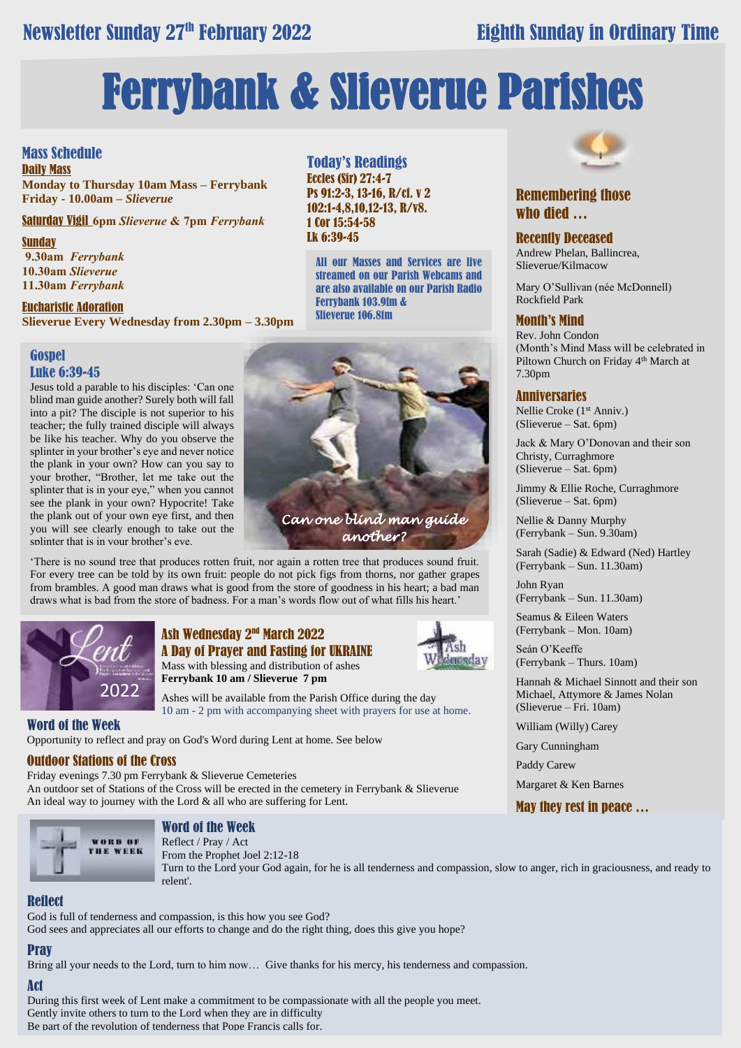# Newsletter Sunday 27th February 2022

# **Eighth Sunday in Ordinary Time**

# Ferrybank & Slieverue Parishes

Today's Readings Eccles (Sir) 27:4-7

1 Cor 15:54-58 Lk 6:39-45

Ps 91:2-3, 13-16, R/cf. v 2 102:1-4,8,10,12-13, R/v8.

Ferrybank 103.9fm & Slieverue 106.8fm

All our Masses and Services are live streamed on our Parish Webcams and are also available on our Parish Radio

## Mass Schedule

Daily Mass **Monday to Thursday 10am Mass – Ferrybank Friday - 10.00am –** *Slieverue*

Saturday Vigil **6pm** *Slieverue* **& 7pm** *Ferrybank*

#### **Sunday**

**9.30am** *Ferrybank*  **10.30am** *Slieverue*  **11.30am** *Ferrybank*

Eucharistic Adoration

**Slieverue Every Wednesday from 2.30pm – 3.30pm**

### **Gospel** Luke 6:39-45

Jesus told a parable to his disciples: 'Can one blind man guide another? Surely both will fall into a pit? The disciple is not superior to his teacher; the fully trained disciple will always be like his teacher. Why do you observe the splinter in your brother's eye and never notice the plank in your own? How can you say to your brother, "Brother, let me take out the splinter that is in your eye," when you cannot see the plank in your own? Hypocrite! Take the plank out of your own eye first, and then you will see clearly enough to take out the splinter that is in your brother's eve.

There is no sound tree that produces rotten fruit, nor again a rotten tree that produces sound fruit. For every tree can be told by its own fruit: people do not pick figs from thorns, nor gather grapes from brambles. A good man draws what is good from the store of goodness in his heart; a bad man draws what is bad from the store of badness. For a man's words flow out of what fills his heart.'



# Ash Wednesday 2nd March 2022 A Day of Prayer and Fasting for UKRAINE

Mass with blessing and distribution of ashes **Ferrybank 10 am / Slieverue 7 pm**

ish



Ashes will be available from the Parish Office during the day 10 am - 2 pm with accompanying sheet with prayers for use at home.

#### Word of the Week

Opportunity to reflect and pray on God's Word during Lent at home. See below

#### Outdoor Stations of the Cross

Friday evenings 7.30 pm Ferrybank & Slieverue Cemeteries An outdoor set of Stations of the Cross will be erected in the cemetery in Ferrybank & Slieverue An ideal way to journey with the Lord & all who are suffering for Lent.



#### Word of the Week

Reflect / Pray / Act

From the Prophet Joel 2:12-18 Turn to the Lord your God again, for he is all tenderness and compassion, slow to anger, rich in graciousness, and ready to relent'.

# Reflect

God is full of tenderness and compassion, is this how you see God? God sees and appreciates all our efforts to change and do the right thing, does this give you hope?

# **Pray**

Bring all your needs to the Lord, turn to him now… Give thanks for his mercy, his tenderness and compassion.

#### Act

During this first week of Lent make a commitment to be compassionate with all the people you meet. Gently invite others to turn to the Lord when they are in difficulty Be part of the revolution of tenderness that Pope Francis calls for.



# Remembering those who died …

#### Recently Deceased

Andrew Phelan, Ballincrea, Slieverue/Kilmacow

Mary O'Sullivan (née McDonnell) Rockfield Park

### Month's Mind

Rev. John Condon (Month's Mind Mass will be celebrated in Piltown Church on Friday 4<sup>th</sup> March at 7.30pm

#### Anniversaries

Nellie Croke (1<sup>st</sup> Anniv.) (Slieverue – Sat. 6pm)

Jack & Mary O'Donovan and their son Christy, Curraghmore (Slieverue – Sat. 6pm)

Jimmy & Ellie Roche, Curraghmore (Slieverue – Sat. 6pm)

Nellie & Danny Murphy (Ferrybank – Sun. 9.30am)

Sarah (Sadie) & Edward (Ned) Hartley (Ferrybank – Sun. 11.30am)

John Ryan (Ferrybank – Sun. 11.30am)

Seamus & Eileen Waters (Ferrybank – Mon. 10am)

Seán O'Keeffe (Ferrybank – Thurs. 10am)

Hannah & Michael Sinnott and their son Michael, Attymore & James Nolan (Slieverue – Fri. 10am)

William (Willy) Carey

Gary Cunningham

Paddy Carew

Margaret & Ken Barnes

May they rest in peace …